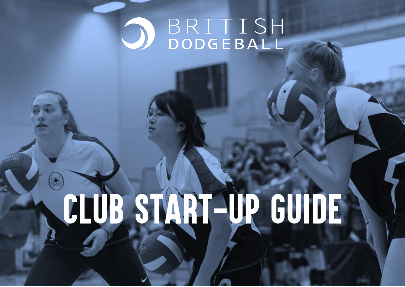## BRITISH

# CLUB START-UP GUIDE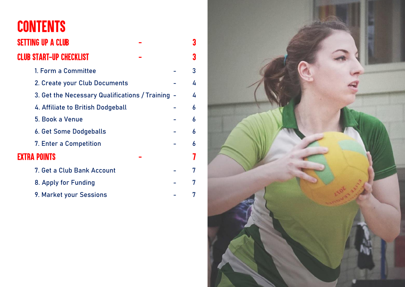## **CONTENTS**

| <b>SETTING UP A CLUB</b>                         | 3 |
|--------------------------------------------------|---|
| <b>CLUB START-UP CHECKLIST</b>                   | 3 |
| 1. Form a Committee                              | 3 |
| 2. Create your Club Documents                    | 4 |
| 3. Get the Necessary Qualifications / Training - | 4 |
| 4. Affiliate to British Dodgeball                | 6 |
| 5. Book a Venue                                  | 6 |
| 6. Get Some Dodgeballs                           | 6 |
| 7. Enter a Competition                           | 6 |
| <b>EXTRA POINTS</b>                              |   |
| 7. Get a Club Bank Account                       | 7 |
| 8. Apply for Funding                             | 7 |
|                                                  |   |

9. Market your Sessions - 7

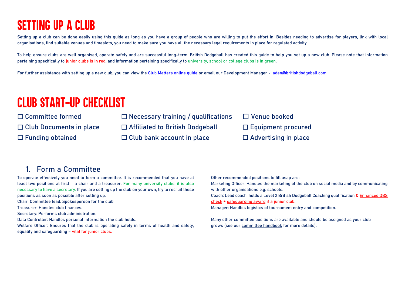## **SETTING UP A CLUB**

Setting up a club can be done easily using this quide as long as you have a group of people who are willing to put the effort in. Besides needing to advertise for players, link with local organisations, find suitable venues and timeslots, you need to make sure you have all the necessary legal requirements in place for regulated activity.

To help ensure clubs are well organised, operate safely and are successful long-term, British Dodgeball has created this guide to help you set up a new club. Please note that information pertaining specifically to junior clubs is in red, and information pertaining specifically to university, school or college clubs is in green.

For further assistance with setting up a new club, you can view th[e Club Matters online guide](https://www.sportenglandclubmatters.com/start-a-club-2/) or email our Development Manager - [aden@britishdodgeball.com.](mailto:aden@britishdodgeball.com)

### **CLUB START-UP CHECKLIST**

☐ **Committee formed** ☐ **Necessary training / qualifications** ☐ **Venue booked**

☐ **Club Documents in place** ☐ **Affiliated to British Dodgeball** ☐ **Equipment procured**

☐ Funding obtained ☐ Club bank account in place ☐ Advertising in place

#### **1. Form a Committee**

To operate effectively you need to form a committee. It is recommended that you have at least two positions at first – a chair and a treasurer. For many university clubs, it is also necessary to have a secretary. If you are setting up the club on your own, try to recruit these positions as soon as possible after setting up.

**Chair:** Committee lead. Spokesperson for the club.

**Treasurer**: Handles club finances.

**Secretary:** Performs club administration.

**Data Controller:** Handles personal information the club holds.

**Welfare Officer**: Ensures that the club is operating safely in terms of health and safety, equality and safeguarding – vital for junior clubs.

**Other recommended positions to fill asap are: Marketing Officer:** Handles the marketing of the club on social media and by communicating with other organisations e.g. schools. **Coach:** Lead coach, holds a **Level 2 British Dodgeball Coaching qualification** & [Enhanced DBS](#page-4-0)  [check](#page-4-0) + [safeguarding award](#page-4-1) if a junior club.

**Manager:** Handles logistics of tournament entry and competition.

Many other committee positions are available and should be assigned as your club grows (see our [committee handbook](https://view.officeapps.live.com/op/view.aspx?src=http://britishdodgeball.org/wp-content/uploads/2017/08/Committee-Handbook.doc) for more details).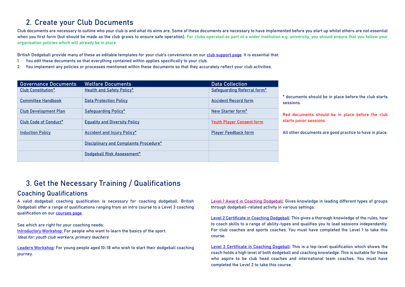#### **2. Create your Club Documents**

Club documents are necessary to outline who your club is and what its aims are. Some of these documents are necessary to have implemented before you start up whilst others are not essential when you first form (but should be made as the club grows to ensure safe operation). For clubs operated as part of a wider institution e.g. university, you should ensure that you follow your organisation policies which will already be in place.

British Dodgeball provide many of these as editable templates for your club's convenience on ou[r club support](http://britishdodgeball.org/club-resources/) page. It is essential that:

- **1.** You edit these documents so that everything contained within applies specifically to your club.
- **2.** You implement any policies or processes mentioned within these documents so that they accurately reflect your club activities.

| <b>Governance Documents</b>  | <b>Welfare Documents</b>               | <b>Data Collection</b>           |                                                                                                                                                   |  |
|------------------------------|----------------------------------------|----------------------------------|---------------------------------------------------------------------------------------------------------------------------------------------------|--|
| <b>Club Constitution*</b>    | Health and Safety Policy*              | Safeguarding Referral form*      |                                                                                                                                                   |  |
|                              |                                        |                                  | * documents should be in place before the club starts<br>sessions.<br>Red documents should be in place before the club<br>starts junior sessions. |  |
| <b>Committee Handbook</b>    | <b>Data Protection Policy</b>          | <b>Accident Record form</b>      |                                                                                                                                                   |  |
|                              |                                        |                                  |                                                                                                                                                   |  |
| <b>Club Development Plan</b> | Safeguarding Policy*                   | New Starter form*                |                                                                                                                                                   |  |
| Club Code of Conduct*        | <b>Equality and Diversity Policy</b>   | <b>Youth Player Consent form</b> |                                                                                                                                                   |  |
|                              |                                        |                                  |                                                                                                                                                   |  |
| <b>Induction Policy</b>      | <b>Accident and Injury Policy*</b>     | <b>Player Feedback form</b>      | All other documents are good practice to have in place.                                                                                           |  |
|                              | Disciplinary and Complaints Procedure* |                                  |                                                                                                                                                   |  |
|                              | Dodgeball Risk Assessment*             |                                  |                                                                                                                                                   |  |

#### **3. Get the Necessary Training / Qualifications**

#### **Coaching Qualifications**

A valid dodgeball coaching qualification is necessary for coaching dodgeball. British Dodgeball offer a range of qualifications ranging from an intro course to a Level 3 coaching qualification on our [courses page.](https://britishdodgeball.org/dodgeball-coaching-courses/)

**See which are right for your coaching needs:** [Introductory Workshop](http://britishdodgeball.org/british-dodgeball-introductory-workshop/)**:** For people who want to learn the basics of the sport. Ideal for: youth club workers, primary teachers

[Leaders Workshop](http://britishdodgeball.org/british-dodgeball-leaders-qualification/)**:** For young people aged 10-18 who wish to start their dodgeball coaching journey.

Level 1 [Award in Coaching Dodgeball](http://britishdodgeball.org/british-dodgeball-level-1-qualification/)**:** Gives knowledge in leading different types of groups through dodgeball-related activity in various settings.

[Level 2 Certificate in Coaching Dodgeball:](http://britishdodgeball.org/british-dodgeball-level-2-qualification/) This gives a thorough knowledge of the rules, how to coach skills to a range of ability-types and **qualifies you to lead sessions independently**. For club coaches and sports coaches. You must have completed the Level 1 to take this course.

[Level 3 Certificate in Coaching Dogeball:](http://britishdodgeball.org/british-dodgeball-level-3-qualification/) This is a top-level qualification which shows the coach holds a high level of both dodgeball and coaching knowledge. This is suitable for those who aspire to be club head coaches and international team coaches. You must have completed the Level 2 to take this course.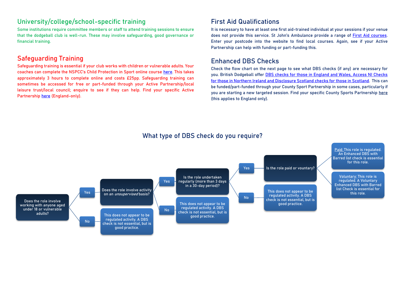#### **University/college/school-specific training**

Some institutions require committee members or staff to attend training sessions to ensure that the dodgeball club is well-run. These may involve safeguarding, good governance or financial training.

#### <span id="page-4-1"></span>**Safeguarding Training**

Safeguarding training is essential if your club works with children or vulnerable adults. Your coaches can complete the NSPCC's Child Protection in Sport online course [here.](https://www.nspcc.org.uk/what-you-can-do/get-expert-training/child-protection-sport-online-course/) This takes approximately 3 hours to complete online and costs £25pp. Safeguarding training can sometimes be accessed for free or part-funded through your **Active Partnership/local leisure trust/local council**; enquire to see if they can help. Find your specific Active Partnership [here](http://www.cspnetwork.org/your-csp) (England-only).

#### **First Aid Qualifications**

It is necessary to have at least one first aid-trained individual at your sessions if your venue does not provide this service. St John's Ambulance provide a range of [First Aid courses.](https://www.sja.org.uk/sja/training-courses/courses-for-the-general-public.aspx)  Enter your postcode into the website to find local courses. Again, see if your Active Partnership can help with funding or part-funding this.

#### <span id="page-4-0"></span>**Enhanced DBS Checks**

Check the flow chart on the next page to see what DBS checks (if any) are necessary for you. British Dodgeball offer [DBS checks for those in England and Wales, Access NI Checks](https://www.britishdodgeball.org/product/criminal-record-check/)  [for those in Northern Ireland and Disclosure Scotland checks for those in Scotland.](https://www.britishdodgeball.org/product/criminal-record-check/) This can be funded/part-funded through your County Sport Partnership in some cases, particularly if you are starting a new targeted session. Find your specific County Sports Partnership [here](http://www.cspnetwork.org/your-csp) (this applies to England only).



#### **What type of DBS check do you require?**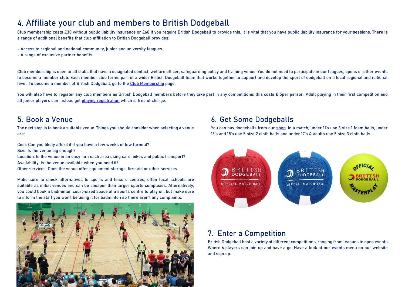#### **4. Affiliate your club and members to British Dodgeball**

Club membership costs £30 without public liability insurance or £60 if you require British Dodgeball to provide this. It is vital that you have public liability insurance for your sessions. There is a range of additional benefits that club affiliation to British Dodgeball provides:

- Access to regional and national community, junior and university leagues.
- A range of exclusive partner benefits.

Club membership is open to all clubs that have a designated contact, welfare officer, safeguarding policy and training venue. You do not need to participate in our leagues, opens or other events to become a member club. Each member club forms part of a wider British Dodgeball team that works together to support and develop the sport of dodgeball on a local regional and national level. To become a member of British Dodgeball, go to th[e Club Membership](https://britishdodgeball.org/club-membership/) page.

You will also have to register any club members as British Dodgeball members before they take part in any competitions; this costs £15per person. Adult playing in their first competition and all junior players can instead get [playing registration](https://www.britishdodgeball.org/playing-registration/) which is free of charge.

The next step is to book a suitable venue. Things you should consider when selecting a venue are:

**Cost:** Can you likely afford it if you have a few weeks of low turnout? **Size:** Is the venue big enough?

**Location:** Is the venue in an easy-to-reach area using cars, bikes and public transport? **Availability**: Is the venue available when you need it?

**Other services:** Does the venue offer equipment storage, first aid or other services.

Make sure to check alternatives to sports and leisure centres; often local schools are suitable as initial venues and can be cheaper than larger sports complexes. Alternatively, you could book a badminton court-sized space at a sports centre to play on, but make sure to inform the staff you won't be using it for badminton so there aren't any complaints.



#### **5. Book a Venue 6. Get Some Dodgeballs**

You can buy dodgeballs from our [shop](https://britishdodgeball.org/shop/). In a match, under 11's use 3 size 1 foam balls, under 13's and 15's use 5 size 2 cloth balls and under 17's & adults use 5 size 3 cloth balls.



#### **7. Enter a Competition**

**British Dodgeball host a variety of different competitions, ranging from leagues to open events Where 6 players can join up and have a go. Have a look at our [events](https://britishdodgeball.org/events/) menu on our website and sign up.**